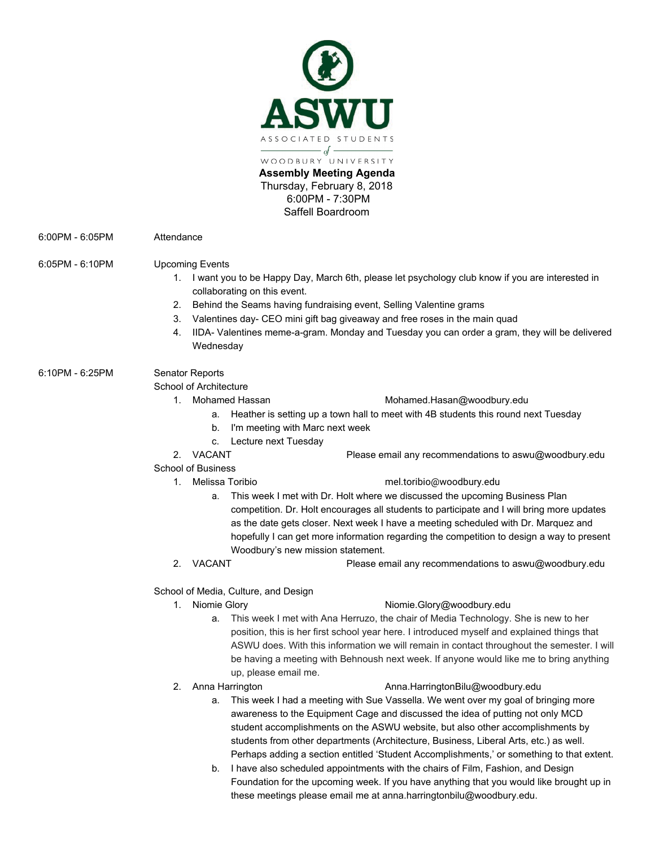

6:00PM - 6:05PM Attendance

### 6:05PM - 6:10PM Upcoming Events

- 1. I want you to be Happy Day, March 6th, please let psychology club know if you are interested in collaborating on this event.
- 2. Behind the Seams having fundraising event, Selling Valentine grams
- 3. Valentines day- CEO mini gift bag giveaway and free roses in the main quad
- 4. IIDA- Valentines meme-a-gram. Monday and Tuesday you can order a gram, they will be delivered **Wednesday**

# 6:10PM - 6:25PM Senator Reports

### School of Architecture

- 
- 1. Mohamed Hassan Mohamed.Hasan@woodbury.edu
	- a. Heather is setting up a town hall to meet with 4B students this round next Tuesday
	- b. I'm meeting with Marc next week
	- c. Lecture next Tuesday

2. VACANT Please email any recommendations to aswu@woodbury.edu

- School of Business
	-

## 1. Melissa Toribio mel.toribio@woodbury.edu

- a. This week I met with Dr. Holt where we discussed the upcoming Business Plan competition. Dr. Holt encourages all students to participate and I will bring more updates as the date gets closer. Next week I have a meeting scheduled with Dr. Marquez and hopefully I can get more information regarding the competition to design a way to present Woodbury's new mission statement.
- 2. VACANT Please email any recommendations to aswu@woodbury.edu

School of Media, Culture, and Design

## 1. Niomie Glory **Niomie.Glory@woodbury.edu**

- a. This week I met with Ana Herruzo, the chair of Media Technology. She is new to her position, this is her first school year here. I introduced myself and explained things that ASWU does. With this information we will remain in contact throughout the semester. I will be having a meeting with Behnoush next week. If anyone would like me to bring anything up, please email me.
- 

#### 2. Anna Harrington **Anna.HarringtonBilu@woodbury.edu**

- a. This week I had a meeting with Sue Vassella. We went over my goal of bringing more awareness to the Equipment Cage and discussed the idea of putting not only MCD student accomplishments on the ASWU website, but also other accomplishments by students from other departments (Architecture, Business, Liberal Arts, etc.) as well. Perhaps adding a section entitled 'Student Accomplishments,' or something to that extent.
- b. I have also scheduled appointments with the chairs of Film, Fashion, and Design Foundation for the upcoming week. If you have anything that you would like brought up in these meetings please email me at anna.harringtonbilu@woodbury.edu.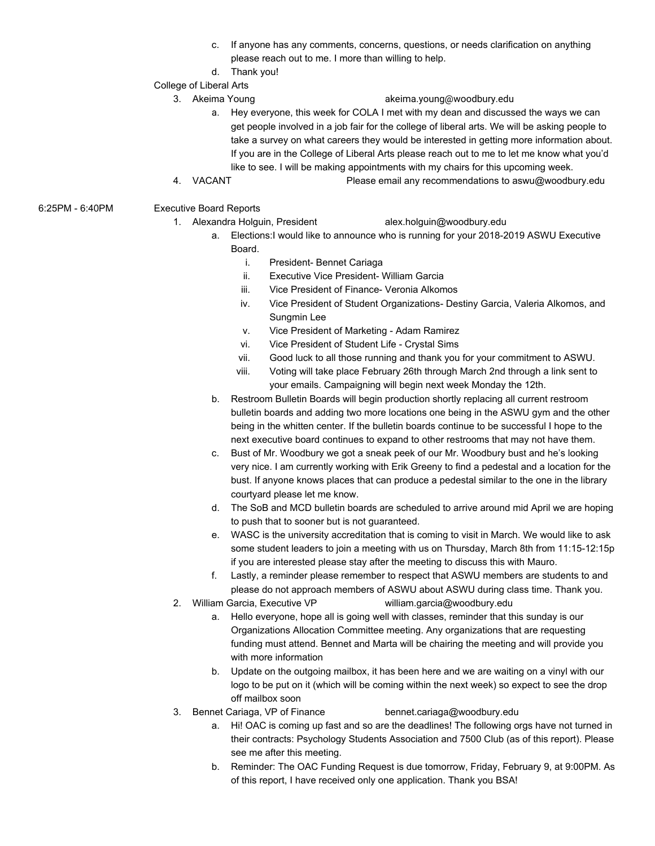- c. If anyone has any comments, concerns, questions, or needs clarification on anything please reach out to me. I more than willing to help.
- d. Thank you!

## College of Liberal Arts

# 3. Akeima Young akeima.young@woodbury.edu

- a. Hey everyone, this week for COLA I met with my dean and discussed the ways we can get people involved in a job fair for the college of liberal arts. We will be asking people to take a survey on what careers they would be interested in getting more information about. If you are in the College of Liberal Arts please reach out to me to let me know what you'd like to see. I will be making appointments with my chairs for this upcoming week.
- 4. VACANT Please email any recommendations to aswu@woodbury.edu
- 6:25PM 6:40PM Executive Board Reports
	- 1. Alexandra Holguin, President alex.holguin@woodbury.edu
		- a. Elections:I would like to announce who is running for your 2018-2019 ASWU Executive Board.
			- i. President- Bennet Cariaga
			- ii. Executive Vice President- William Garcia
			- iii. Vice President of Finance- Veronia Alkomos
			- iv. Vice President of Student Organizations- Destiny Garcia, Valeria Alkomos, and Sungmin Lee
			- v. Vice President of Marketing Adam Ramirez
			- vi. Vice President of Student Life Crystal Sims
			- vii. Good luck to all those running and thank you for your commitment to ASWU.
			- viii. Voting will take place February 26th through March 2nd through a link sent to your emails. Campaigning will begin next week Monday the 12th.
		- b. Restroom Bulletin Boards will begin production shortly replacing all current restroom bulletin boards and adding two more locations one being in the ASWU gym and the other being in the whitten center. If the bulletin boards continue to be successful I hope to the next executive board continues to expand to other restrooms that may not have them.
		- c. Bust of Mr. Woodbury we got a sneak peek of our Mr. Woodbury bust and he's looking very nice. I am currently working with Erik Greeny to find a pedestal and a location for the bust. If anyone knows places that can produce a pedestal similar to the one in the library courtyard please let me know.
		- d. The SoB and MCD bulletin boards are scheduled to arrive around mid April we are hoping to push that to sooner but is not guaranteed.
		- e. WASC is the university accreditation that is coming to visit in March. We would like to ask some student leaders to join a meeting with us on Thursday, March 8th from 11:15-12:15p if you are interested please stay after the meeting to discuss this with Mauro.
		- f. Lastly, a reminder please remember to respect that ASWU members are students to and please do not approach members of ASWU about ASWU during class time. Thank you.
	- 2. William Garcia, Executive VP william.garcia@woodbury.edu
		- a. Hello everyone, hope all is going well with classes, reminder that this sunday is our Organizations Allocation Committee meeting. Any organizations that are requesting funding must attend. Bennet and Marta will be chairing the meeting and will provide you with more information
		- b. Update on the outgoing mailbox, it has been here and we are waiting on a vinyl with our logo to be put on it (which will be coming within the next week) so expect to see the drop off mailbox soon
	- 3. Bennet Cariaga, VP of Finance bennet.cariaga@woodbury.edu
		- a. Hi! OAC is coming up fast and so are the deadlines! The following orgs have not turned in their contracts: Psychology Students Association and 7500 Club (as of this report). Please see me after this meeting.
		- b. Reminder: The OAC Funding Request is due tomorrow, Friday, February 9, at 9:00PM. As of this report, I have received only one application. Thank you BSA!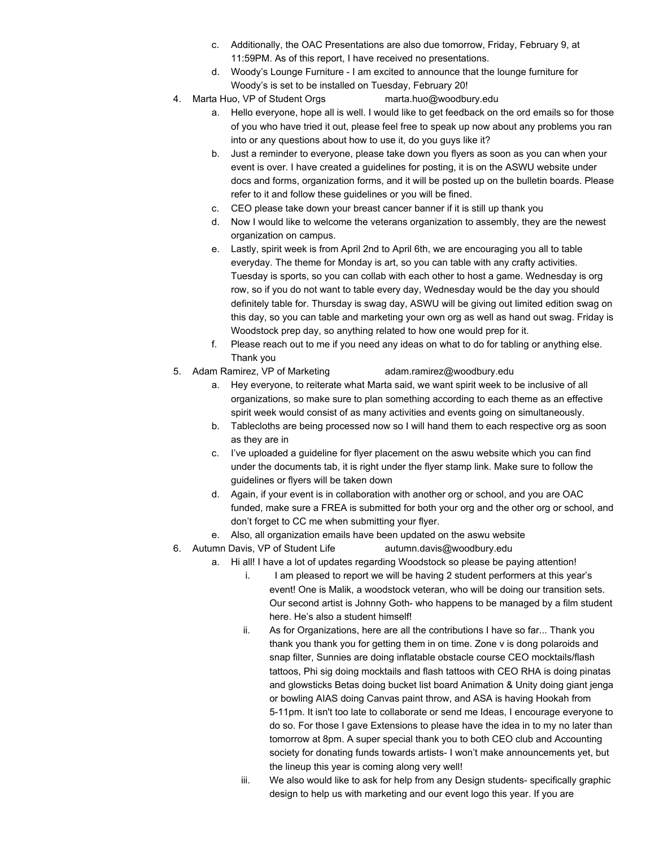- c. Additionally, the OAC Presentations are also due tomorrow, Friday, February 9, at 11:59PM. As of this report, I have received no presentations.
- d. Woody's Lounge Furniture I am excited to announce that the lounge furniture for Woody's is set to be installed on Tuesday, February 20!
- 4. Marta Huo, VP of Student Orgs marta.huo@woodbury.edu
	- a. Hello everyone, hope all is well. I would like to get feedback on the ord emails so for those of you who have tried it out, please feel free to speak up now about any problems you ran into or any questions about how to use it, do you guys like it?
	- b. Just a reminder to everyone, please take down you flyers as soon as you can when your event is over. I have created a guidelines for posting, it is on the ASWU website under docs and forms, organization forms, and it will be posted up on the bulletin boards. Please refer to it and follow these guidelines or you will be fined.
	- c. CEO please take down your breast cancer banner if it is still up thank you
	- d. Now I would like to welcome the veterans organization to assembly, they are the newest organization on campus.
	- e. Lastly, spirit week is from April 2nd to April 6th, we are encouraging you all to table everyday. The theme for Monday is art, so you can table with any crafty activities. Tuesday is sports, so you can collab with each other to host a game. Wednesday is org row, so if you do not want to table every day, Wednesday would be the day you should definitely table for. Thursday is swag day, ASWU will be giving out limited edition swag on this day, so you can table and marketing your own org as well as hand out swag. Friday is Woodstock prep day, so anything related to how one would prep for it.
	- f. Please reach out to me if you need any ideas on what to do for tabling or anything else. Thank you
- 5. Adam Ramirez, VP of Marketing adam.ramirez@woodbury.edu
	- a. Hey everyone, to reiterate what Marta said, we want spirit week to be inclusive of all organizations, so make sure to plan something according to each theme as an effective spirit week would consist of as many activities and events going on simultaneously.
	- b. Tablecloths are being processed now so I will hand them to each respective org as soon as they are in
	- c. I've uploaded a guideline for flyer placement on the aswu website which you can find under the documents tab, it is right under the flyer stamp link. Make sure to follow the guidelines or flyers will be taken down
	- d. Again, if your event is in collaboration with another org or school, and you are OAC funded, make sure a FREA is submitted for both your org and the other org or school, and don't forget to CC me when submitting your flyer.
	- e. Also, all organization emails have been updated on the aswu website
- 6. Autumn Davis, VP of Student Life autumn.davis@woodbury.edu
	- a. Hi all! I have a lot of updates regarding Woodstock so please be paying attention!
		- i. I am pleased to report we will be having 2 student performers at this year's event! One is Malik, a woodstock veteran, who will be doing our transition sets. Our second artist is Johnny Goth- who happens to be managed by a film student here. He's also a student himself!
		- ii. As for Organizations, here are all the contributions I have so far... Thank you thank you thank you for getting them in on time. Zone v is dong polaroids and snap filter, Sunnies are doing inflatable obstacle course CEO mocktails/flash tattoos, Phi sig doing mocktails and flash tattoos with CEO RHA is doing pinatas and glowsticks Betas doing bucket list board Animation & Unity doing giant jenga or bowling AIAS doing Canvas paint throw, and ASA is having Hookah from 5-11pm. It isn't too late to collaborate or send me Ideas, I encourage everyone to do so. For those I gave Extensions to please have the idea in to my no later than tomorrow at 8pm. A super special thank you to both CEO club and Accounting society for donating funds towards artists- I won't make announcements yet, but the lineup this year is coming along very well!
		- iii. We also would like to ask for help from any Design students- specifically graphic design to help us with marketing and our event logo this year. If you are